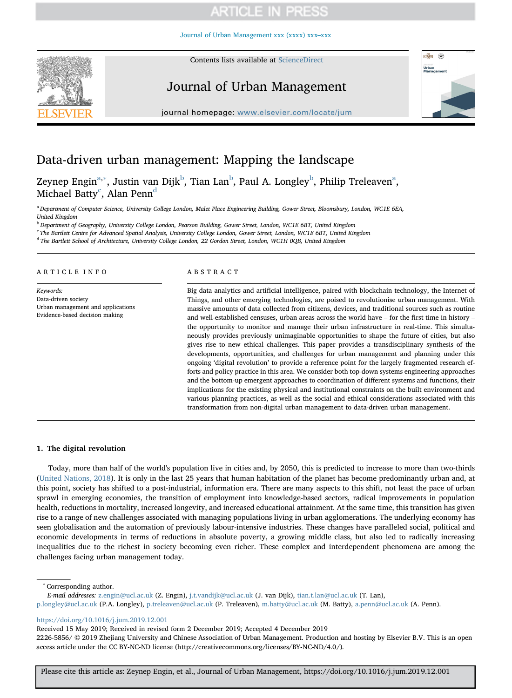[Journal of Urban Management xxx \(xxxx\) xxx–xxx](https://doi.org/10.1016/j.jum.2019.12.001)



Contents lists available at [ScienceDirect](http://www.sciencedirect.com/science/journal/22265856)

# Journal of Urban Management



journal homepage: [www.elsevier.com/locate/jum](https://www.elsevier.com/locate/jum)

# Data-driven urban management: Mapping the landscape

Zeynep Engin $a^*$  $a^*$ , Justin van Dijk $^b$  $^b$ , Tian Lan $^b$ , Paul A. Longley $^b$ , Philip Treleaven $^a$ , Mi[c](#page-0-3)hael Batty<sup>c</sup>, Alan Penn<sup>[d](#page-0-4)</sup>

<span id="page-0-0"></span>a Department of Computer Science, University College London, Malet Place Engineering Building, Gower Street, Bloomsbury, London, WC1E 6EA, United Kingdom

<span id="page-0-2"></span><sup>b</sup> Department of Geography, University College London, Pearson Building, Gower Street, London, WC1E 6BT, United Kingdom

<span id="page-0-3"></span><sup>c</sup> The Bartlett Centre for Advanced Spatial Analysis, University College London, Gower Street, London, WC1E 6BT, United Kingdom

<span id="page-0-4"></span><sup>d</sup> The Bartlett School of Architecture, University College London, 22 Gordon Street, London, WC1H 0QB, United Kingdom

## ARTICLE INFO

Keywords: Data-driven society Urban management and applications Evidence-based decision making

## ABSTRACT

Big data analytics and artificial intelligence, paired with blockchain technology, the Internet of Things, and other emerging technologies, are poised to revolutionise urban management. With massive amounts of data collected from citizens, devices, and traditional sources such as routine and well-established censuses, urban areas across the world have – for the first time in history – the opportunity to monitor and manage their urban infrastructure in real-time. This simultaneously provides previously unimaginable opportunities to shape the future of cities, but also gives rise to new ethical challenges. This paper provides a transdisciplinary synthesis of the developments, opportunities, and challenges for urban management and planning under this ongoing 'digital revolution' to provide a reference point for the largely fragmented research efforts and policy practice in this area. We consider both top-down systems engineering approaches and the bottom-up emergent approaches to coordination of different systems and functions, their implications for the existing physical and institutional constraints on the built environment and various planning practices, as well as the social and ethical considerations associated with this transformation from non-digital urban management to data-driven urban management.

# 1. The digital revolution

Today, more than half of the world's population live in cities and, by 2050, this is predicted to increase to more than two-thirds ([United Nations, 2018\)](#page-10-0). It is only in the last 25 years that human habitation of the planet has become predominantly urban and, at this point, society has shifted to a post-industrial, information era. There are many aspects to this shift, not least the pace of urban sprawl in emerging economies, the transition of employment into knowledge-based sectors, radical improvements in population health, reductions in mortality, increased longevity, and increased educational attainment. At the same time, this transition has given rise to a range of new challenges associated with managing populations living in urban agglomerations. The underlying economy has seen globalisation and the automation of previously labour-intensive industries. These changes have paralleled social, political and economic developments in terms of reductions in absolute poverty, a growing middle class, but also led to radically increasing inequalities due to the richest in society becoming even richer. These complex and interdependent phenomena are among the challenges facing urban management today.

<span id="page-0-1"></span><sup>∗</sup> Corresponding author.

E-mail addresses: [z.engin@ucl.ac.uk](mailto:z.engin@ucl.ac.uk) (Z. Engin), [j.t.vandijk@ucl.ac.uk](mailto:j.t.vandijk@ucl.ac.uk) (J. van Dijk), [tian.t.lan@ucl.ac.uk](mailto:tian.t.lan@ucl.ac.uk) (T. Lan),

[p.longley@ucl.ac.uk](mailto:p.longley@ucl.ac.uk) (P.A. Longley), [p.treleaven@ucl.ac.uk](mailto:p.treleaven@ucl.ac.uk) (P. Treleaven), [m.batty@ucl.ac.uk](mailto:m.batty@ucl.ac.uk) (M. Batty), [a.penn@ucl.ac.uk](mailto:a.penn@ucl.ac.uk) (A. Penn).

<https://doi.org/10.1016/j.jum.2019.12.001>

Received 15 May 2019; Received in revised form 2 December 2019; Accepted 4 December 2019

2226-5856/ © 2019 Zhejiang University and Chinese Association of Urban Management. Production and hosting by Elsevier B.V. This is an open access article under the CC BY-NC-ND license (http://creativecommons.org/licenses/B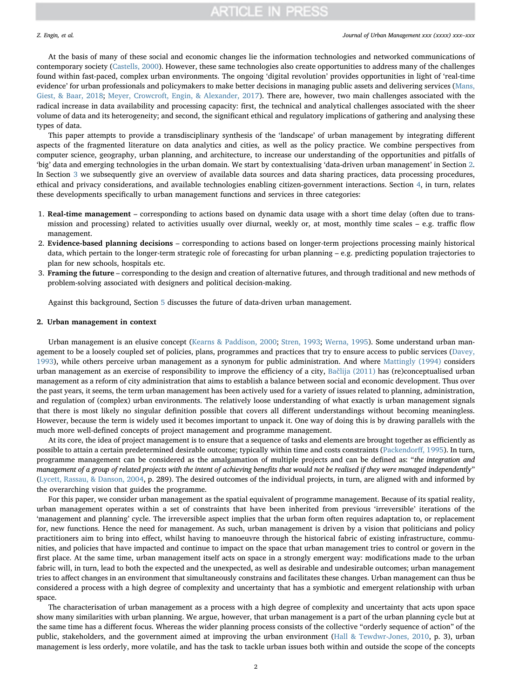### Z. Engin, et al. *Journal of Urban Management xxx (xxxx) xxx–xxx*

At the basis of many of these social and economic changes lie the information technologies and networked communications of contemporary society ([Castells, 2000\)](#page-9-0). However, these same technologies also create opportunities to address many of the challenges found within fast-paced, complex urban environments. The ongoing 'digital revolution' provides opportunities in light of 'real-time evidence' for urban professionals and policymakers to make better decisions in managing public assets and delivering services [\(Mans,](#page-9-1) [Giest, & Baar, 2018;](#page-9-1) [Meyer, Crowcroft, Engin, & Alexander, 2017\)](#page-10-1). There are, however, two main challenges associated with the radical increase in data availability and processing capacity: first, the technical and analytical challenges associated with the sheer volume of data and its heterogeneity; and second, the significant ethical and regulatory implications of gathering and analysing these types of data.

This paper attempts to provide a transdisciplinary synthesis of the 'landscape' of urban management by integrating different aspects of the fragmented literature on data analytics and cities, as well as the policy practice. We combine perspectives from computer science, geography, urban planning, and architecture, to increase our understanding of the opportunities and pitfalls of 'big' data and emerging technologies in the urban domain. We start by contextualising 'data-driven urban management' in Section [2.](#page-1-0) In Section [3](#page-4-0) we subsequently give an overview of available data sources and data sharing practices, data processing procedures, ethical and privacy considerations, and available technologies enabling citizen-government interactions. Section [4](#page-7-0), in turn, relates these developments specifically to urban management functions and services in three categories:

- 1. Real-time management corresponding to actions based on dynamic data usage with a short time delay (often due to transmission and processing) related to activities usually over diurnal, weekly or, at most, monthly time scales – e.g. traffic flow management.
- 2. Evidence-based planning decisions corresponding to actions based on longer-term projections processing mainly historical data, which pertain to the longer-term strategic role of forecasting for urban planning – e.g. predicting population trajectories to plan for new schools, hospitals etc.
- 3. Framing the future corresponding to the design and creation of alternative futures, and through traditional and new methods of problem-solving associated with designers and political decision-making.

Against this background, Section [5](#page-8-0) discusses the future of data-driven urban management.

## <span id="page-1-0"></span>2. Urban management in context

Urban management is an elusive concept [\(Kearns & Paddison, 2000](#page-9-2); [Stren, 1993;](#page-10-2) [Werna, 1995\)](#page-10-3). Some understand urban management to be a loosely coupled set of policies, plans, programmes and practices that try to ensure access to public services [\(Davey,](#page-9-3) [1993\)](#page-9-3), while others perceive urban management as a synonym for public administration. And where [Mattingly \(1994\)](#page-10-4) considers urban management as an exercise of responsibility to improve the efficiency of a city, Bač[lija \(2011\)](#page-8-1) has (re)conceptualised urban management as a reform of city administration that aims to establish a balance between social and economic development. Thus over the past years, it seems, the term urban management has been actively used for a variety of issues related to planning, administration, and regulation of (complex) urban environments. The relatively loose understanding of what exactly is urban management signals that there is most likely no singular definition possible that covers all different understandings without becoming meaningless. However, because the term is widely used it becomes important to unpack it. One way of doing this is by drawing parallels with the much more well-defined concepts of project management and programme management.

At its core, the idea of project management is to ensure that a sequence of tasks and elements are brought together as efficiently as possible to attain a certain predetermined desirable outcome; typically within time and costs constraints ([Packendor](#page-10-5)ff, 1995). In turn, programme management can be considered as the amalgamation of multiple projects and can be defined as: "the integration and management of a group of related projects with the intent of achieving benefits that would not be realised if they were managed independently" ([Lycett, Rassau, & Danson, 2004,](#page-9-4) p. 289). The desired outcomes of the individual projects, in turn, are aligned with and informed by the overarching vision that guides the programme.

For this paper, we consider urban management as the spatial equivalent of programme management. Because of its spatial reality, urban management operates within a set of constraints that have been inherited from previous 'irreversible' iterations of the 'management and planning' cycle. The irreversible aspect implies that the urban form often requires adaptation to, or replacement for, new functions. Hence the need for management. As such, urban management is driven by a vision that politicians and policy practitioners aim to bring into effect, whilst having to manoeuvre through the historical fabric of existing infrastructure, communities, and policies that have impacted and continue to impact on the space that urban management tries to control or govern in the first place. At the same time, urban management itself acts on space in a strongly emergent way: modifications made to the urban fabric will, in turn, lead to both the expected and the unexpected, as well as desirable and undesirable outcomes; urban management tries to affect changes in an environment that simultaneously constrains and facilitates these changes. Urban management can thus be considered a process with a high degree of complexity and uncertainty that has a symbiotic and emergent relationship with urban space.

The characterisation of urban management as a process with a high degree of complexity and uncertainty that acts upon space show many similarities with urban planning. We argue, however, that urban management is a part of the urban planning cycle but at the same time has a different focus. Whereas the wider planning process consists of the collective "orderly sequence of action" of the public, stakeholders, and the government aimed at improving the urban environment [\(Hall & Tewdwr-Jones, 2010](#page-9-5), p. 3), urban management is less orderly, more volatile, and has the task to tackle urban issues both within and outside the scope of the concepts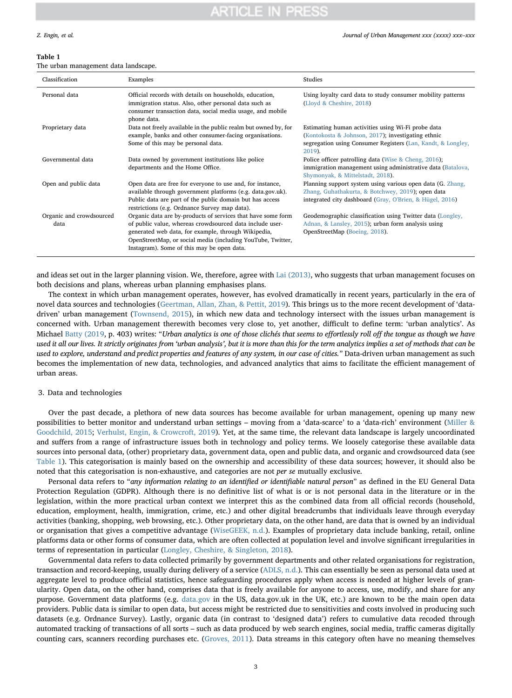### <span id="page-2-0"></span>Table 1

The urban management data landsca

Z. Engin, et al. *Journal of Urban Management xxx (xxxx) xxx–xxx*

| Classification                   | Examples                                                                                                                                                                                                                                                                                     | Studies                                                                                                                                                                            |
|----------------------------------|----------------------------------------------------------------------------------------------------------------------------------------------------------------------------------------------------------------------------------------------------------------------------------------------|------------------------------------------------------------------------------------------------------------------------------------------------------------------------------------|
| Personal data                    | Official records with details on households, education,<br>immigration status. Also, other personal data such as<br>consumer transaction data, social media usage, and mobile<br>phone data.                                                                                                 | Using loyalty card data to study consumer mobility patterns<br>(Lloyd & Cheshire, 2018)                                                                                            |
| Proprietary data                 | Data not freely available in the public realm but owned by, for<br>example, banks and other consumer-facing organisations.<br>Some of this may be personal data.                                                                                                                             | Estimating human activities using Wi-Fi probe data<br>(Kontokosta & Johnson, 2017); investigating ethnic<br>segregation using Consumer Registers (Lan, Kandt, & Longley,<br>2019). |
| Governmental data                | Data owned by government institutions like police<br>departments and the Home Office.                                                                                                                                                                                                        | Police officer patrolling data (Wise & Cheng, 2016);<br>immigration management using administrative data (Batalova,<br>Shymonyak, & Mittelstadt, 2018).                            |
| Open and public data             | Open data are free for everyone to use and, for instance,<br>available through government platforms (e.g. data.gov.uk).<br>Public data are part of the public domain but has access<br>restrictions (e.g. Ordnance Survey map data).                                                         | Planning support system using various open data (G. Zhang,<br>Zhang, Guhathakurta, & Botchwey, 2019); open data<br>integrated city dashboard (Gray, O'Brien, & Hügel, 2016)        |
| Organic and crowdsourced<br>data | Organic data are by-products of services that have some form<br>of public value, whereas crowdsourced data include user-<br>generated web data, for example, through Wikipedia,<br>OpenStreetMap, or social media (including YouTube, Twitter,<br>Instagram). Some of this may be open data. | Geodemographic classification using Twitter data (Longley,<br>Adnan, & Lansley, 2015); urban form analysis using<br>OpenStreetMap (Boeing, 2018).                                  |

and ideas set out in the larger planning vision. We, therefore, agree with [Lai \(2013\)](#page-9-6), who suggests that urban management focuses on both decisions and plans, whereas urban planning emphasises plans.

The context in which urban management operates, however, has evolved dramatically in recent years, particularly in the era of novel data sources and technologies [\(Geertman, Allan, Zhan, & Pettit, 2019\)](#page-9-7). This brings us to the more recent development of 'datadriven' urban management ([Townsend, 2015\)](#page-10-6), in which new data and technology intersect with the issues urban management is concerned with. Urban management therewith becomes very close to, yet another, difficult to define term: 'urban analytics'. As Michael [Batty \(2019,](#page-8-2) p. 403) writes: "Urban analytics is one of those clichés that seems to effortlessly roll off the tongue as though we have used it all our lives. It strictly originates from 'urban analysis', but it is more than this for the term analytics implies a set of methods that can be used to explore, understand and predict properties and features of any system, in our case of cities." Data-driven urban management as such becomes the implementation of new data, technologies, and advanced analytics that aims to facilitate the efficient management of urban areas.

## 3. Data and technologies

Over the past decade, a plethora of new data sources has become available for urban management, opening up many new possibilities to better monitor and understand urban settings – moving from a 'data-scarce' to a 'data-rich' environment ([Miller &](#page-10-7) [Goodchild, 2015](#page-10-7); [Verhulst, Engin, & Crowcroft, 2019](#page-10-8)). Yet, at the same time, the relevant data landscape is largely uncoordinated and suffers from a range of infrastructure issues both in technology and policy terms. We loosely categorise these available data sources into personal data, (other) proprietary data, government data, open and public data, and organic and crowdsourced data (see [Table 1\)](#page-2-0). This categorisation is mainly based on the ownership and accessibility of these data sources; however, it should also be noted that this categorisation is non-exhaustive, and categories are not per se mutually exclusive.

Personal data refers to "any information relating to an identified or identifiable natural person" as defined in the EU General Data Protection Regulation (GDPR). Although there is no definitive list of what is or is not personal data in the literature or in the legislation, within the more practical urban context we interpret this as the combined data from all official records (household, education, employment, health, immigration, crime, etc.) and other digital breadcrumbs that individuals leave through everyday activities (banking, shopping, web browsing, etc.). Other proprietary data, on the other hand, are data that is owned by an individual or organisation that gives a competitive advantage ([WiseGEEK, n.d.](#page-10-9)). Examples of proprietary data include banking, retail, online platforms data or other forms of consumer data, which are often collected at population level and involve significant irregularities in terms of representation in particular [\(Longley, Cheshire, & Singleton, 2018\)](#page-9-8).

Governmental data refers to data collected primarily by government departments and other related organisations for registration, transaction and record-keeping, usually during delivery of a service ([ADLS,](#page-8-3) n.d.). This can essentially be seen as personal data used at aggregate level to produce official statistics, hence safeguarding procedures apply when access is needed at higher levels of granularity. Open data, on the other hand, comprises data that is freely available for anyone to access, use, modify, and share for any purpose. Government data platforms (e.g. [data.gov](http://data.gov) in the US, data.gov.uk in the UK, etc.) are known to be the main open data providers. Public data is similar to open data, but access might be restricted due to sensitivities and costs involved in producing such datasets (e.g. Ordnance Survey). Lastly, organic data (in contrast to 'designed data') refers to cumulative data recoded through automated tracking of transactions of all sorts – such as data produced by web search engines, social media, traffic cameras digitally counting cars, scanners recording purchases etc. ([Groves, 2011](#page-9-9)). Data streams in this category often have no meaning themselves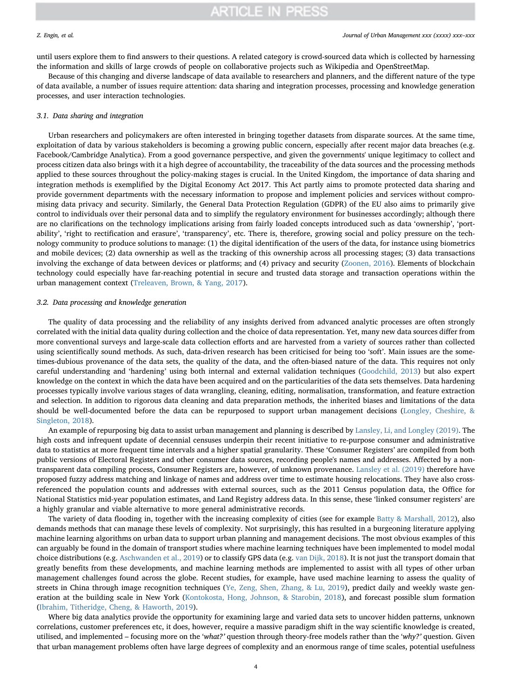until users explore them to find answers to their questions. A related category is crowd-sourced data which is collected by harnessing the information and skills of large crowds of people on collaborative projects such as Wikipedia and OpenStreetMap.

Because of this changing and diverse landscape of data available to researchers and planners, and the different nature of the type of data available, a number of issues require attention: data sharing and integration processes, processing and knowledge generation processes, and user interaction technologies.

## 3.1. Data sharing and integration

Urban researchers and policymakers are often interested in bringing together datasets from disparate sources. At the same time, exploitation of data by various stakeholders is becoming a growing public concern, especially after recent major data breaches (e.g. Facebook/Cambridge Analytica). From a good governance perspective, and given the governments' unique legitimacy to collect and process citizen data also brings with it a high degree of accountability, the traceability of the data sources and the processing methods applied to these sources throughout the policy-making stages is crucial. In the United Kingdom, the importance of data sharing and integration methods is exemplified by the Digital Economy Act 2017. This Act partly aims to promote protected data sharing and provide government departments with the necessary information to propose and implement policies and services without compromising data privacy and security. Similarly, the General Data Protection Regulation (GDPR) of the EU also aims to primarily give control to individuals over their personal data and to simplify the regulatory environment for businesses accordingly; although there are no clarifications on the technology implications arising from fairly loaded concepts introduced such as data 'ownership', 'portability', 'right to rectification and erasure', 'transparency', etc. There is, therefore, growing social and policy pressure on the technology community to produce solutions to manage: (1) the digital identification of the users of the data, for instance using biometrics and mobile devices; (2) data ownership as well as the tracking of this ownership across all processing stages; (3) data transactions involving the exchange of data between devices or platforms; and (4) privacy and security [\(Zoonen, 2016](#page-10-12)). Elements of blockchain technology could especially have far-reaching potential in secure and trusted data storage and transaction operations within the urban management context ([Treleaven, Brown, & Yang, 2017](#page-10-13)).

## 3.2. Data processing and knowledge generation

The quality of data processing and the reliability of any insights derived from advanced analytic processes are often strongly correlated with the initial data quality during collection and the choice of data representation. Yet, many new data sources differ from more conventional surveys and large-scale data collection efforts and are harvested from a variety of sources rather than collected using scientifically sound methods. As such, data-driven research has been criticised for being too 'soft'. Main issues are the sometimes-dubious provenance of the data sets, the quality of the data, and the often-biased nature of the data. This requires not only careful understanding and 'hardening' using both internal and external validation techniques [\(Goodchild, 2013](#page-9-15)) but also expert knowledge on the context in which the data have been acquired and on the particularities of the data sets themselves. Data hardening processes typically involve various stages of data wrangling, cleaning, editing, normalisation, transformation, and feature extraction and selection. In addition to rigorous data cleaning and data preparation methods, the inherited biases and limitations of the data should be well-documented before the data can be repurposed to support urban management decisions [\(Longley, Cheshire, &](#page-9-8) [Singleton, 2018\)](#page-9-8).

An example of repurposing big data to assist urban management and planning is described by [Lansley, Li, and Longley \(2019\).](#page-9-16) The high costs and infrequent update of decennial censuses underpin their recent initiative to re-purpose consumer and administrative data to statistics at more frequent time intervals and a higher spatial granularity. These 'Consumer Registers' are compiled from both public versions of Electoral Registers and other consumer data sources, recording people's names and addresses. Affected by a nontransparent data compiling process, Consumer Registers are, however, of unknown provenance. [Lansley et al. \(2019\)](#page-9-16) therefore have proposed fuzzy address matching and linkage of names and address over time to estimate housing relocations. They have also crossreferenced the population counts and addresses with external sources, such as the 2011 Census population data, the Office for National Statistics mid-year population estimates, and Land Registry address data. In this sense, these 'linked consumer registers' are a highly granular and viable alternative to more general administrative records.

The variety of data flooding in, together with the increasing complexity of cities (see for example [Batty & Marshall, 2012\)](#page-8-6), also demands methods that can manage these levels of complexity. Not surprisingly, this has resulted in a burgeoning literature applying machine learning algorithms on urban data to support urban planning and management decisions. The most obvious examples of this can arguably be found in the domain of transport studies where machine learning techniques have been implemented to model modal choice distributions (e.g. [Aschwanden et al., 2019\)](#page-8-7) or to classify GPS data (e.g. [van Dijk, 2018\)](#page-9-17). It is not just the transport domain that greatly benefits from these developments, and machine learning methods are implemented to assist with all types of other urban management challenges found across the globe. Recent studies, for example, have used machine learning to assess the quality of streets in China through image recognition techniques [\(Ye, Zeng, Shen, Zhang, & Lu, 2019\)](#page-10-14), predict daily and weekly waste generation at the building scale in New York ([Kontokosta, Hong, Johnson, & Starobin, 2018](#page-9-18)), and forecast possible slum formation ([Ibrahim, Titheridge, Cheng, & Haworth, 2019](#page-9-19)).

Where big data analytics provide the opportunity for examining large and varied data sets to uncover hidden patterns, unknown correlations, customer preferences etc, it does, however, require a massive paradigm shift in the way scientific knowledge is created, utilised, and implemented – focusing more on the 'what?' question through theory-free models rather than the 'why?' question. Given that urban management problems often have large degrees of complexity and an enormous range of time scales, potential usefulness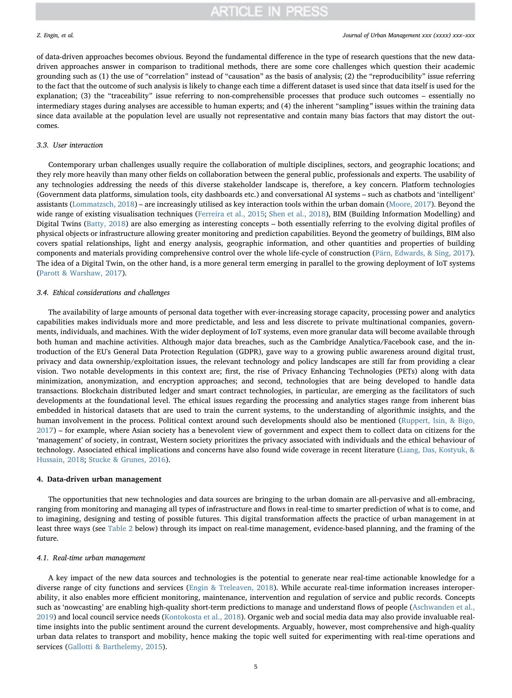of data-driven approaches becomes obvious. Beyond the fundamental difference in the type of research questions that the new datadriven approaches answer in comparison to traditional methods, there are some core challenges which question their academic grounding such as (1) the use of "correlation" instead of "causation" as the basis of analysis; (2) the "reproducibility" issue referring to the fact that the outcome of such analysis is likely to change each time a different dataset is used since that data itself is used for the explanation; (3) the "traceability" issue referring to non-comprehensible processes that produce such outcomes – essentially no intermediary stages during analyses are accessible to human experts; and (4) the inherent "sampling" issues within the training data since data available at the population level are usually not representative and contain many bias factors that may distort the outcomes.

### 3.3. User interaction

Contemporary urban challenges usually require the collaboration of multiple disciplines, sectors, and geographic locations; and they rely more heavily than many other fields on collaboration between the general public, professionals and experts. The usability of any technologies addressing the needs of this diverse stakeholder landscape is, therefore, a key concern. Platform technologies (Government data platforms, simulation tools, city dashboards etc.) and conversational AI systems – such as chatbots and 'intelligent' assistants [\(Lommatzsch, 2018](#page-9-20)) – are increasingly utilised as key interaction tools within the urban domain ([Moore, 2017\)](#page-10-15). Beyond the wide range of existing visualisation techniques ([Ferreira et al., 2015;](#page-9-21) [Shen et al., 2018\)](#page-10-16), BIM (Building Information Modelling) and Digital Twins [\(Batty, 2018\)](#page-8-8) are also emerging as interesting concepts – both essentially referring to the evolving digital profiles of physical objects or infrastructure allowing greater monitoring and prediction capabilities. Beyond the geometry of buildings, BIM also covers spatial relationships, light and energy analysis, geographic information, and other quantities and properties of building components and materials providing comprehensive control over the whole life-cycle of construction [\(Pärn, Edwards, & Sing, 2017](#page-10-17)). The idea of a Digital Twin, on the other hand, is a more general term emerging in parallel to the growing deployment of IoT systems ([Parott & Warshaw, 2017\)](#page-10-18).

## 3.4. Ethical considerations and challenges

The availability of large amounts of personal data together with ever-increasing storage capacity, processing power and analytics capabilities makes individuals more and more predictable, and less and less discrete to private multinational companies, governments, individuals, and machines. With the wider deployment of IoT systems, even more granular data will become available through both human and machine activities. Although major data breaches, such as the Cambridge Analytica/Facebook case, and the introduction of the EU's General Data Protection Regulation (GDPR), gave way to a growing public awareness around digital trust, privacy and data ownership/exploitation issues, the relevant technology and policy landscapes are still far from providing a clear vision. Two notable developments in this context are; first, the rise of Privacy Enhancing Technologies (PETs) along with data minimization, anonymization, and encryption approaches; and second, technologies that are being developed to handle data transactions. Blockchain distributed ledger and smart contract technologies, in particular, are emerging as the facilitators of such developments at the foundational level. The ethical issues regarding the processing and analytics stages range from inherent bias embedded in historical datasets that are used to train the current systems, to the understanding of algorithmic insights, and the human involvement in the process. Political context around such developments should also be mentioned ([Ruppert, Isin, & Bigo,](#page-10-19) [2017\)](#page-10-19) – for example, where Asian society has a benevolent view of government and expect them to collect data on citizens for the 'management' of society, in contrast, Western society prioritizes the privacy associated with individuals and the ethical behaviour of technology. Associated ethical implications and concerns have also found wide coverage in recent literature [\(Liang, Das, Kostyuk, &](#page-9-22) [Hussain, 2018;](#page-9-22) [Stucke & Grunes, 2016](#page-10-20)).

## <span id="page-4-0"></span>4. Data-driven urban management

The opportunities that new technologies and data sources are bringing to the urban domain are all-pervasive and all-embracing, ranging from monitoring and managing all types of infrastructure and flows in real-time to smarter prediction of what is to come, and to imagining, designing and testing of possible futures. This digital transformation affects the practice of urban management in at least three ways (see [Table 2](#page-5-0) below) through its impact on real-time management, evidence-based planning, and the framing of the future.

## 4.1. Real-time urban management

A key impact of the new data sources and technologies is the potential to generate near real-time actionable knowledge for a diverse range of city functions and services [\(Engin & Treleaven, 2018\)](#page-9-23). While accurate real-time information increases interoperability, it also enables more efficient monitoring, maintenance, intervention and regulation of service and public records. Concepts such as 'nowcasting' are enabling high-quality short-term predictions to manage and understand flows of people ([Aschwanden et al.,](#page-8-7) [2019\)](#page-8-7) and local council service needs [\(Kontokosta et al., 2018](#page-9-18)). Organic web and social media data may also provide invaluable realtime insights into the public sentiment around the current developments. Arguably, however, most comprehensive and high-quality urban data relates to transport and mobility, hence making the topic well suited for experimenting with real-time operations and services [\(Gallotti & Barthelemy, 2015\)](#page-9-24).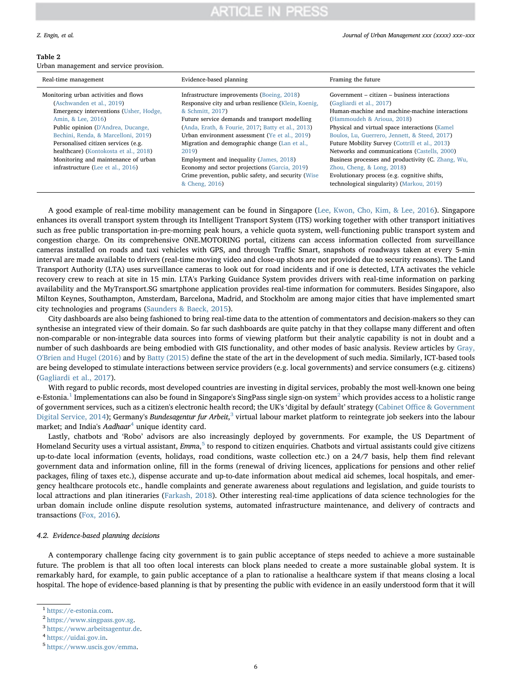### <span id="page-5-0"></span>Table 2

Urban management and service provision.

| Real-time management                   | Evidence-based planning                              | Framing the future                                 |
|----------------------------------------|------------------------------------------------------|----------------------------------------------------|
| Monitoring urban activities and flows  | Infrastructure improvements (Boeing, 2018)           | Government – citizen – business interactions       |
| (Aschwanden et al., 2019)              | Responsive city and urban resilience (Klein, Koenig, | (Gagliardi et al., 2017)                           |
| Emergency interventions (Usher, Hodge, | & Schmitt, 2017)                                     | Human-machine and machine-machine interactions     |
| Amin, & Lee, 2016)                     | Future service demands and transport modelling       | (Hammoudeh & Arioua, 2018)                         |
| Public opinion (D'Andrea, Ducange,     | (Anda, Erath, & Fourie, 2017; Batty et al., 2013)    | Physical and virtual space interactions (Kamel     |
| Bechini, Renda, & Marcelloni, 2019)    | Urban environment assessment (Ye et al., 2019)       | Boulos, Lu, Guerrero, Jennett, & Steed, 2017)      |
| Personalised citizen services (e.g.    | Migration and demographic change (Lan et al.,        | Future Mobility Survey (Cottrill et al., 2013)     |
| healthcare) (Kontokosta et al., 2018)  | 2019)                                                | Networks and communications (Castells, 2000)       |
| Monitoring and maintenance of urban    | Employment and inequality (James, 2018)              | Business processes and productivity (C. Zhang, Wu, |
| infrastructure (Lee et al., 2016)      | Economy and sector projections (Garcia, 2019)        | Zhou, Cheng, & Long, 2018)                         |
|                                        | Crime prevention, public safety, and security (Wise) | Evolutionary process (e.g. cognitive shifts,       |
|                                        | & Cheng, 2016)                                       | technological singularity) (Markou, 2019)          |

A good example of real-time mobility management can be found in Singapore ([Lee, Kwon, Cho, Kim, & Lee, 2016\)](#page-9-25). Singapore enhances its overall transport system through its Intelligent Transport System (ITS) working together with other transport initiatives such as free public transportation in-pre-morning peak hours, a vehicle quota system, well-functioning public transport system and congestion charge. On its comprehensive ONE.MOTORING portal, citizens can access information collected from surveillance cameras installed on roads and taxi vehicles with GPS, and through Traffic Smart, snapshots of roadways taken at every 5-min interval are made available to drivers (real-time moving video and close-up shots are not provided due to security reasons). The Land Transport Authority (LTA) uses surveillance cameras to look out for road incidents and if one is detected, LTA activates the vehicle recovery crew to reach at site in 15 min. LTA's Parking Guidance System provides drivers with real-time information on parking availability and the MyTransport.SG smartphone application provides real-time information for commuters. Besides Singapore, also Milton Keynes, Southampton, Amsterdam, Barcelona, Madrid, and Stockholm are among major cities that have implemented smart city technologies and programs [\(Saunders & Baeck, 2015\)](#page-10-21).

City dashboards are also being fashioned to bring real-time data to the attention of commentators and decision-makers so they can synthesise an integrated view of their domain. So far such dashboards are quite patchy in that they collapse many different and often non-comparable or non-integrable data sources into forms of viewing platform but their analytic capability is not in doubt and a number of such dashboards are being embodied with GIS functionality, and other modes of basic analysis. Review articles by [Gray,](#page-9-13) [O'Brien and Hugel \(2016\)](#page-9-13) and by [Batty \(2015\)](#page-8-9) define the state of the art in the development of such media. Similarly, ICT-based tools are being developed to stimulate interactions between service providers (e.g. local governments) and service consumers (e.g. citizens) ([Gagliardi et al., 2017](#page-9-26)).

With regard to public records, most developed countries are investing in digital services, probably the most well-known one being e-Estonia.<sup>[1](#page-5-1)</sup> Implementations can also be found in Singapore's SingPass single sign-on system<sup>[2](#page-5-2)</sup> which provides access to a holistic range of government services, such as a citizen's electronic health record; the UK's 'digital by default' strategy (Cabinet Offi[ce & Government](#page-8-10) [Digital Service, 2014\)](#page-8-10); Germany's Bundesagentur fur Arbeit,<sup>[3](#page-5-3)</sup> virtual labour market platform to reintegrate job seekers into the labour market; and India's  $A$ adhaar<sup>[4](#page-5-4)</sup> unique identity card.

Lastly, chatbots and 'Robo' advisors are also increasingly deployed by governments. For example, the US Department of Homeland Security uses a virtual assistant,  $Emma<sub>1</sub>$ <sup>[5](#page-5-5)</sup> to respond to citizen enquiries. Chatbots and virtual assistants could give citizens up-to-date local information (events, holidays, road conditions, waste collection etc.) on a 24/7 basis, help them find relevant government data and information online, fill in the forms (renewal of driving licences, applications for pensions and other relief packages, filing of taxes etc.), dispense accurate and up-to-date information about medical aid schemes, local hospitals, and emergency healthcare protocols etc., handle complaints and generate awareness about regulations and legislation, and guide tourists to local attractions and plan itineraries [\(Farkash, 2018\)](#page-9-27). Other interesting real-time applications of data science technologies for the urban domain include online dispute resolution systems, automated infrastructure maintenance, and delivery of contracts and transactions [\(Fox, 2016\)](#page-9-28).

# 4.2. Evidence-based planning decisions

A contemporary challenge facing city government is to gain public acceptance of steps needed to achieve a more sustainable future. The problem is that all too often local interests can block plans needed to create a more sustainable global system. It is remarkably hard, for example, to gain public acceptance of a plan to rationalise a healthcare system if that means closing a local hospital. The hope of evidence-based planning is that by presenting the public with evidence in an easily understood form that it will

<span id="page-5-1"></span> $^{\rm 1}$  [https://e-estonia.com.](https://e-estonia.com)

<span id="page-5-2"></span><sup>2</sup> [https://www.singpass.gov.sg.](https://www.singpass.gov.sg)

<span id="page-5-3"></span><sup>3</sup> [https://www.arbeitsagentur.de.](https://www.arbeitsagentur.de)

<span id="page-5-4"></span><sup>4</sup> [https://uidai.gov.in.](https://uidai.gov.in)

<span id="page-5-5"></span><sup>5</sup> <https://www.uscis.gov/emma>.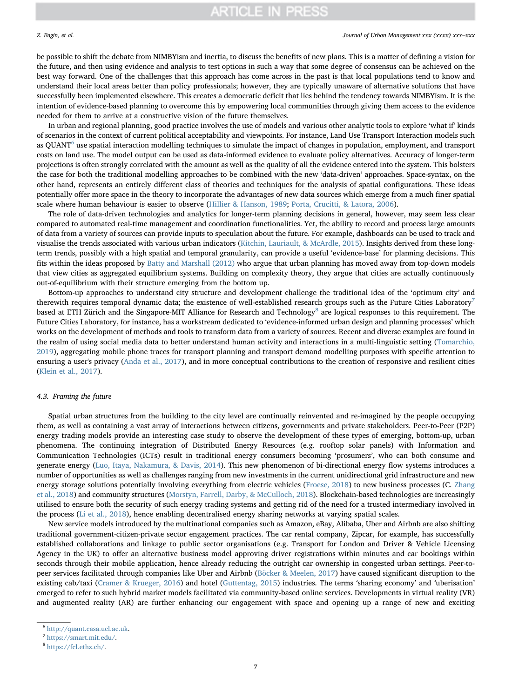### Z. Engin, et al. *Journal of Urban Management xxx (xxxx) xxx–xxx*

be possible to shift the debate from NIMBYism and inertia, to discuss the benefits of new plans. This is a matter of defining a vision for the future, and then using evidence and analysis to test options in such a way that some degree of consensus can be achieved on the best way forward. One of the challenges that this approach has come across in the past is that local populations tend to know and understand their local areas better than policy professionals; however, they are typically unaware of alternative solutions that have successfully been implemented elsewhere. This creates a democratic deficit that lies behind the tendency towards NIMBYism. It is the intention of evidence-based planning to overcome this by empowering local communities through giving them access to the evidence needed for them to arrive at a constructive vision of the future themselves.

In urban and regional planning, good practice involves the use of models and various other analytic tools to explore 'what if' kinds of scenarios in the context of current political acceptability and viewpoints. For instance, Land Use Transport Interaction models such as QUANT $<sup>6</sup>$  $<sup>6</sup>$  $<sup>6</sup>$  use spatial interaction modelling techniques to simulate the impact of changes in population, employment, and transport</sup> costs on land use. The model output can be used as data-informed evidence to evaluate policy alternatives. Accuracy of longer-term projections is often strongly correlated with the amount as well as the quality of all the evidence entered into the system. This bolsters the case for both the traditional modelling approaches to be combined with the new 'data-driven' approaches. Space-syntax, on the other hand, represents an entirely different class of theories and techniques for the analysis of spatial configurations. These ideas potentially offer more space in the theory to incorporate the advantages of new data sources which emerge from a much finer spatial scale where human behaviour is easier to observe ([Hillier & Hanson, 1989](#page-9-37); [Porta, Crucitti, & Latora, 2006\)](#page-10-24).

The role of data-driven technologies and analytics for longer-term planning decisions in general, however, may seem less clear compared to automated real-time management and coordination functionalities. Yet, the ability to record and process large amounts of data from a variety of sources can provide inputs to speculation about the future. For example, dashboards can be used to track and visualise the trends associated with various urban indicators [\(Kitchin, Lauriault, & McArdle, 2015](#page-9-38)). Insights derived from these longterm trends, possibly with a high spatial and temporal granularity, can provide a useful 'evidence-base' for planning decisions. This fits within the ideas proposed by [Batty and Marshall \(2012\)](#page-8-6) who argue that urban planning has moved away from top-down models that view cities as aggregated equilibrium systems. Building on complexity theory, they argue that cities are actually continuously out-of-equilibrium with their structure emerging from the bottom up.

Bottom-up approaches to understand city structure and development challenge the traditional idea of the 'optimum city' and therewith requires temporal dynamic data; the existence of well-established research groups such as the Future Cities Laboratory<sup>[7](#page-6-1)</sup> based at ETH Zürich and the Singapore-MIT Alliance for Research and Technology<sup>[8](#page-6-2)</sup> are logical responses to this requirement. The Future Cities Laboratory, for instance, has a workstream dedicated to 'evidence-informed urban design and planning processes' which works on the development of methods and tools to transform data from a variety of sources. Recent and diverse examples are found in the realm of using social media data to better understand human activity and interactions in a multi-linguistic setting ([Tomarchio,](#page-10-25) [2019\)](#page-10-25), aggregating mobile phone traces for transport planning and transport demand modelling purposes with specific attention to ensuring a user's privacy ([Anda et al., 2017](#page-8-11)), and in more conceptual contributions to the creation of responsive and resilient cities ([Klein et al., 2017\)](#page-9-30).

## 4.3. Framing the future

Spatial urban structures from the building to the city level are continually reinvented and re-imagined by the people occupying them, as well as containing a vast array of interactions between citizens, governments and private stakeholders. Peer-to-Peer (P2P) energy trading models provide an interesting case study to observe the development of these types of emerging, bottom-up, urban phenomena. The continuing integration of Distributed Energy Resources (e.g. rooftop solar panels) with Information and Communication Technologies (ICTs) result in traditional energy consumers becoming 'prosumers', who can both consume and generate energy ([Luo, Itaya, Nakamura, & Davis, 2014\)](#page-9-39). This new phenomenon of bi-directional energy flow systems introduces a number of opportunities as well as challenges ranging from new investments in the current unidirectional grid infrastructure and new energy storage solutions potentially involving everything from electric vehicles ([Froese, 2018\)](#page-9-40) to new business processes (C. [Zhang](#page-10-23) [et al., 2018](#page-10-23)) and community structures ([Morstyn, Farrell, Darby, & McCulloch, 2018](#page-10-26)). Blockchain-based technologies are increasingly utilised to ensure both the security of such energy trading systems and getting rid of the need for a trusted intermediary involved in the process [\(Li et al., 2018](#page-9-41)), hence enabling decentralised energy sharing networks at varying spatial scales.

New service models introduced by the multinational companies such as Amazon, eBay, Alibaba, Uber and Airbnb are also shifting traditional government-citizen-private sector engagement practices. The car rental company, Zipcar, for example, has successfully established collaborations and linkage to public sector organisations (e.g. Transport for London and Driver & Vehicle Licensing Agency in the UK) to offer an alternative business model approving driver registrations within minutes and car bookings within seconds through their mobile application, hence already reducing the outright car ownership in congested urban settings. Peer-topeer services facilitated through companies like Uber and Airbnb [\(Böcker & Meelen, 2017\)](#page-8-13) have caused significant disruption to the existing cab/taxi [\(Cramer & Krueger, 2016\)](#page-9-42) and hotel [\(Guttentag, 2015\)](#page-9-43) industries. The terms 'sharing economy' and 'uberisation' emerged to refer to such hybrid market models facilitated via community-based online services. Developments in virtual reality (VR) and augmented reality (AR) are further enhancing our engagement with space and opening up a range of new and exciting

<span id="page-6-0"></span><sup>6</sup> <http://quant.casa.ucl.ac.uk>.

<span id="page-6-1"></span><sup>7</sup> [https://smart.mit.edu/.](https://smart.mit.edu/)

<span id="page-6-2"></span><sup>8</sup> [https://fcl.ethz.ch/.](https://fcl.ethz.ch/)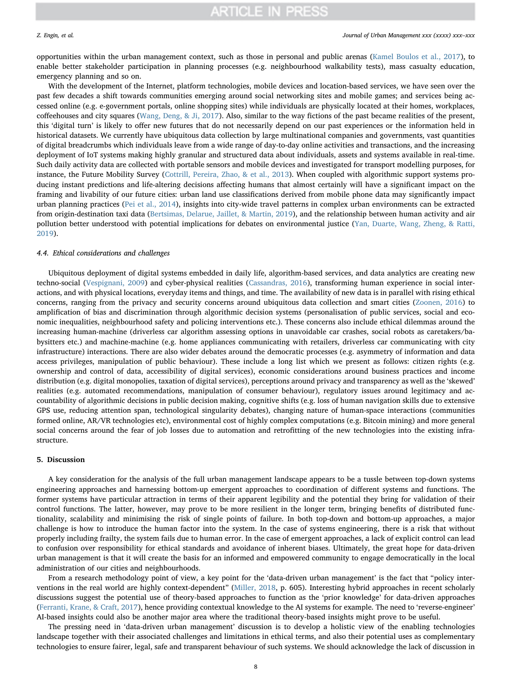### Z. Engin, et al. *Journal of Urban Management xxx (xxxx) xxx–xxx*

opportunities within the urban management context, such as those in personal and public arenas ([Kamel Boulos et al., 2017\)](#page-9-34), to enable better stakeholder participation in planning processes (e.g. neighbourhood walkability tests), mass casualty education, emergency planning and so on.

With the development of the Internet, platform technologies, mobile devices and location-based services, we have seen over the past few decades a shift towards communities emerging around social networking sites and mobile games; and services being accessed online (e.g. e-government portals, online shopping sites) while individuals are physically located at their homes, workplaces, coffeehouses and city squares ([Wang, Deng, & Ji, 2017\)](#page-10-27). Also, similar to the way fictions of the past became realities of the present, this 'digital turn' is likely to offer new futures that do not necessarily depend on our past experiences or the information held in historical datasets. We currently have ubiquitous data collection by large multinational companies and governments, vast quantities of digital breadcrumbs which individuals leave from a wide range of day-to-day online activities and transactions, and the increasing deployment of IoT systems making highly granular and structured data about individuals, assets and systems available in real-time. Such daily activity data are collected with portable sensors and mobile devices and investigated for transport modelling purposes, for instance, the Future Mobility Survey [\(Cottrill, Pereira, Zhao, & et al., 2013](#page-9-35)). When coupled with algorithmic support systems producing instant predictions and life-altering decisions affecting humans that almost certainly will have a significant impact on the framing and livability of our future cities: urban land use classifications derived from mobile phone data may significantly impact urban planning practices ([Pei et al., 2014](#page-10-28)), insights into city-wide travel patterns in complex urban environments can be extracted from origin-destination taxi data ([Bertsimas, Delarue, Jaillet, & Martin, 2019](#page-8-14)), and the relationship between human activity and air pollution better understood with potential implications for debates on environmental justice [\(Yan, Duarte, Wang, Zheng, & Ratti,](#page-10-29) [2019\)](#page-10-29).

## 4.4. Ethical considerations and challenges

Ubiquitous deployment of digital systems embedded in daily life, algorithm-based services, and data analytics are creating new techno-social ([Vespignani, 2009\)](#page-10-30) and cyber-physical realities ([Cassandras, 2016\)](#page-8-15), transforming human experience in social interactions, and with physical locations, everyday items and things, and time. The availability of new data is in parallel with rising ethical concerns, ranging from the privacy and security concerns around ubiquitous data collection and smart cities [\(Zoonen, 2016\)](#page-10-12) to amplification of bias and discrimination through algorithmic decision systems (personalisation of public services, social and economic inequalities, neighbourhood safety and policing interventions etc.). These concerns also include ethical dilemmas around the increasing human-machine (driverless car algorithm assessing options in unavoidable car crashes, social robots as caretakers/babysitters etc.) and machine-machine (e.g. home appliances communicating with retailers, driverless car communicating with city infrastructure) interactions. There are also wider debates around the democratic processes (e.g. asymmetry of information and data access privileges, manipulation of public behaviour). These include a long list which we present as follows: citizen rights (e.g. ownership and control of data, accessibility of digital services), economic considerations around business practices and income distribution (e.g. digital monopolies, taxation of digital services), perceptions around privacy and transparency as well as the 'skewed' realities (e.g. automated recommendations, manipulation of consumer behaviour), regulatory issues around legitimacy and accountability of algorithmic decisions in public decision making, cognitive shifts (e.g. loss of human navigation skills due to extensive GPS use, reducing attention span, technological singularity debates), changing nature of human-space interactions (communities formed online, AR/VR technologies etc), environmental cost of highly complex computations (e.g. Bitcoin mining) and more general social concerns around the fear of job losses due to automation and retrofitting of the new technologies into the existing infrastructure.

## <span id="page-7-0"></span>5. Discussion

A key consideration for the analysis of the full urban management landscape appears to be a tussle between top-down systems engineering approaches and harnessing bottom-up emergent approaches to coordination of different systems and functions. The former systems have particular attraction in terms of their apparent legibility and the potential they bring for validation of their control functions. The latter, however, may prove to be more resilient in the longer term, bringing benefits of distributed functionality, scalability and minimising the risk of single points of failure. In both top-down and bottom-up approaches, a major challenge is how to introduce the human factor into the system. In the case of systems engineering, there is a risk that without properly including frailty, the system fails due to human error. In the case of emergent approaches, a lack of explicit control can lead to confusion over responsibility for ethical standards and avoidance of inherent biases. Ultimately, the great hope for data-driven urban management is that it will create the basis for an informed and empowered community to engage democratically in the local administration of our cities and neighbourhoods.

From a research methodology point of view, a key point for the 'data-driven urban management' is the fact that "policy interventions in the real world are highly context-dependent" [\(Miller, 2018](#page-10-31), p. 605). Interesting hybrid approaches in recent scholarly discussions suggest the potential use of theory-based approaches to function as the 'prior knowledge' for data-driven approaches ([Ferranti, Krane, & Craft, 2017\)](#page-9-44), hence providing contextual knowledge to the AI systems for example. The need to 'reverse-engineer' AI-based insights could also be another major area where the traditional theory-based insights might prove to be useful.

The pressing need in 'data-driven urban management' discussion is to develop a holistic view of the enabling technologies landscape together with their associated challenges and limitations in ethical terms, and also their potential uses as complementary technologies to ensure fairer, legal, safe and transparent behaviour of such systems. We should acknowledge the lack of discussion in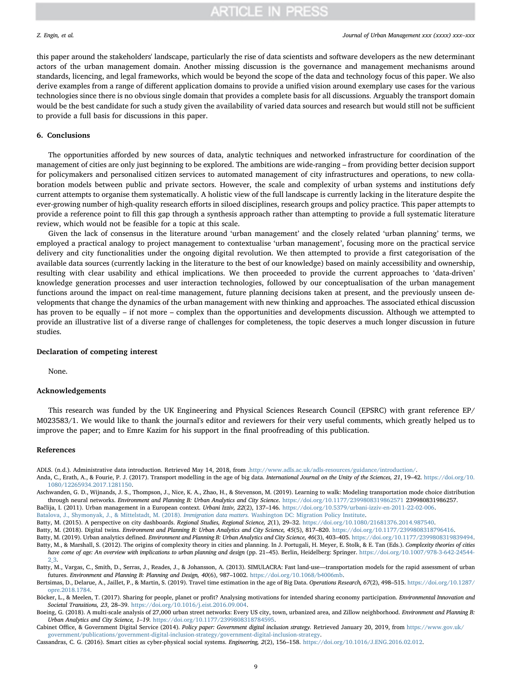this paper around the stakeholders' landscape, particularly the rise of data scientists and software developers as the new determinant actors of the urban management domain. Another missing discussion is the governance and management mechanisms around standards, licencing, and legal frameworks, which would be beyond the scope of the data and technology focus of this paper. We also derive examples from a range of different application domains to provide a unified vision around exemplary use cases for the various technologies since there is no obvious single domain that provides a complete basis for all discussions. Arguably the transport domain would be the best candidate for such a study given the availability of varied data sources and research but would still not be sufficient to provide a full basis for discussions in this paper.

# <span id="page-8-0"></span>6. Conclusions

The opportunities afforded by new sources of data, analytic techniques and networked infrastructure for coordination of the management of cities are only just beginning to be explored. The ambitions are wide-ranging – from providing better decision support for policymakers and personalised citizen services to automated management of city infrastructures and operations, to new collaboration models between public and private sectors. However, the scale and complexity of urban systems and institutions defy current attempts to organise them systematically. A holistic view of the full landscape is currently lacking in the literature despite the ever-growing number of high-quality research efforts in siloed disciplines, research groups and policy practice. This paper attempts to provide a reference point to fill this gap through a synthesis approach rather than attempting to provide a full systematic literature review, which would not be feasible for a topic at this scale.

Given the lack of consensus in the literature around 'urban management' and the closely related 'urban planning' terms, we employed a practical analogy to project management to contextualise 'urban management', focusing more on the practical service delivery and city functionalities under the ongoing digital revolution. We then attempted to provide a first categorisation of the available data sources (currently lacking in the literature to the best of our knowledge) based on mainly accessibility and ownership, resulting with clear usability and ethical implications. We then proceeded to provide the current approaches to 'data-driven' knowledge generation processes and user interaction technologies, followed by our conceptualisation of the urban management functions around the impact on real-time management, future planning decisions taken at present, and the previously unseen developments that change the dynamics of the urban management with new thinking and approaches. The associated ethical discussion has proven to be equally – if not more – complex than the opportunities and developments discussion. Although we attempted to provide an illustrative list of a diverse range of challenges for completeness, the topic deserves a much longer discussion in future studies.

# Declaration of competing interest

None.

# Acknowledgements

This research was funded by the UK Engineering and Physical Sciences Research Council (EPSRC) with grant reference EP/ M023583/1. We would like to thank the journal's editor and reviewers for their very useful comments, which greatly helped us to improve the paper; and to Emre Kazim for his support in the final proofreading of this publication.

## References

- <span id="page-8-3"></span>ADLS. (n.d.). Administrative data introduction. Retrieved May 14, 2018, from [.http://www.adls.ac.uk/adls-resources/guidance/introduction/](http://www.adls.ac.uk/adls-resources/guidance/introduction/).
- <span id="page-8-11"></span>Anda, C., Erath, A., & Fourie, P. J. (2017). Transport modelling in the age of big data. International Journal on the Unity of the Sciences, 21, 19–42. [https://doi.org/10.](https://doi.org/10.1080/12265934.2017.1281150) [1080/12265934.2017.1281150](https://doi.org/10.1080/12265934.2017.1281150).
- <span id="page-8-7"></span>Aschwanden, G. D., Wijnands, J. S., Thompson, J., Nice, K. A., Zhao, H., & Stevenson, M. (2019). Learning to walk: Modeling transportation mode choice distribution through neural networks. Environment and Planning B: Urban Analytics and City Science. <https://doi.org/10.1177/2399808319862571> 239980831986257. Bačlija, I. (2011). Urban management in a European context. Urbani Izziv, 22(2), 137-146. <https://doi.org/10.5379/urbani-izziv-en-2011-22-02-006>.

<span id="page-8-2"></span>Batty, M. (2019). Urban analytics defined. Environment and Planning B: Urban Analytics and City Science, 46(3), 403-405. <https://doi.org/10.1177/2399808319839494>.

<span id="page-8-12"></span>Batty, M., Vargas, C., Smith, D., Serras, J., Reades, J., & Johansson, A. (2013). SIMULACRA: Fast land-use—transportation models for the rapid assessment of urban futures. Environment and Planning B: Planning and Design, 40(6), 987–1002. [https://doi.org/10.1068/b4006mb.](https://doi.org/10.1068/b4006mb)

<span id="page-8-14"></span>Bertsimas, D., Delarue, A., Jaillet, P., & Martin, S. (2019). Travel time estimation in the age of Big Data. Operations Research, 67(2), 498–515. [https://doi.org/10.1287/](https://doi.org/10.1287/opre.2018.1784) [opre.2018.1784.](https://doi.org/10.1287/opre.2018.1784)

<span id="page-8-4"></span><span id="page-8-1"></span>[Batalova, J., Shymonyak, J., & Mittelstadt, M. \(2018\).](http://refhub.elsevier.com/S2226-5856(19)30115-3/sref5) Immigration data matters. Washington DC: Migration Policy Institute.

<span id="page-8-9"></span>Batty, M. (2015). A perspective on city dashboards. Regional Studies, Regional Science, 2(1), 29–32. [https://doi.org/10.1080/21681376.2014.987540.](https://doi.org/10.1080/21681376.2014.987540)

<span id="page-8-8"></span>Batty, M. (2018). Digital twins. Environment and Planning B: Urban Analytics and City Science, 45(5), 817–820. [https://doi.org/10.1177/2399808318796416.](https://doi.org/10.1177/2399808318796416)

<span id="page-8-6"></span>Batty, M., & Marshall, S. (2012). The origins of complexity theory in cities and planning. In J. Portugali, H. Meyer, E. Stolk, & E. Tan (Eds.). Complexity theories of cities have come of age: An overview with implications to urban planning and design (pp. 21-45). Berlin, Heidelberg: Springer. [https://doi.org/10.1007/978-3-642-24544-](https://doi.org/10.1007/978-3-642-24544-2_3) [2\\_3](https://doi.org/10.1007/978-3-642-24544-2_3).

<span id="page-8-13"></span>Böcker, L., & Meelen, T. (2017). Sharing for people, planet or profit? Analysing motivations for intended sharing economy participation. Environmental Innovation and Societal Transitions, 23, 28–39. <https://doi.org/10.1016/j.eist.2016.09.004>.

<span id="page-8-5"></span>Boeing, G. (2018). A multi-scale analysis of 27,000 urban street networks: Every US city, town, urbanized area, and Zillow neighborhood. Environment and Planning B: Urban Analytics and City Science, 1–19. [https://doi.org/10.1177/2399808318784595.](https://doi.org/10.1177/2399808318784595)

<span id="page-8-10"></span>Cabinet Office, & Government Digital Service (2014). Policy paper: Government digital inclusion strategy. Retrieved January 20, 2019, from [https://www.gov.uk/](https://www.gov.uk/government/publications/government-digital-inclusion-strategy/government-digital-inclusion-strategy) [government/publications/government-digital-inclusion-strategy/government-digital-inclusion-strategy.](https://www.gov.uk/government/publications/government-digital-inclusion-strategy/government-digital-inclusion-strategy)

<span id="page-8-15"></span>Cassandras, C. G. (2016). Smart cities as cyber-physical social systems. Engineering, 2(2), 156–158. <https://doi.org/10.1016/J.ENG.2016.02.012>.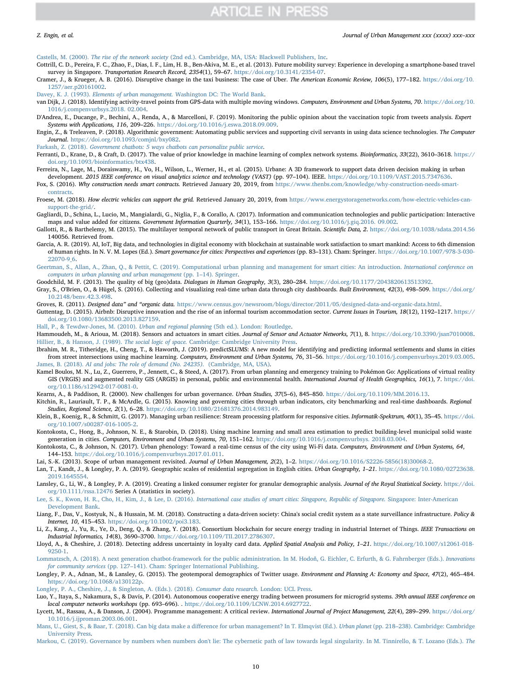<span id="page-9-0"></span>Castells, M. (2000). The rise of the network society [\(2nd ed.\). Cambridge, MA, USA: Blackwell Publishers, Inc.](http://refhub.elsevier.com/S2226-5856(19)30115-3/sref16)

- <span id="page-9-35"></span>Cottrill, C. D., Pereira, F. C., Zhao, F., Dias, I. F., Lim, H. B., Ben-Akiva, M. E., et al. (2013). Future mobility survey: Experience in developing a smartphone-based travel survey in Singapore. Transportation Research Record, 2354(1), 59-67. [https://doi.org/10.3141/2354-07.](https://doi.org/10.3141/2354-07)
- <span id="page-9-42"></span>Cramer, J., & Krueger, A. B. (2016). Disruptive change in the taxi business: The case of Uber. The American Economic Review, 106(5), 177–182. [https://doi.org/10.](https://doi.org/10.1257/aer.p20161002) [1257/aer.p20161002](https://doi.org/10.1257/aer.p20161002).
- <span id="page-9-3"></span>Davey, K. J. (1993). Elements of urban management. [Washington DC: The World Bank.](http://refhub.elsevier.com/S2226-5856(19)30115-3/sref19)
- <span id="page-9-17"></span>van Dijk, J. (2018). Identifying activity-travel points from GPS-data with multiple moving windows. Computers, Environment and Urban Systems, 70. [https://doi.org/10.](https://doi.org/10.1016/j.compenvurbsys.2018. 02.004) [1016/j.compenvurbsys.2018. 02.004.](https://doi.org/10.1016/j.compenvurbsys.2018. 02.004)
- <span id="page-9-29"></span>D'Andrea, E., Ducange, P., Bechini, A., Renda, A., & Marcelloni, F. (2019). Monitoring the public opinion about the vaccination topic from tweets analysis. Expert Systems with Applications, 116, 209–226. <https://doi.org/10.1016/j.eswa.2018.09.009>.
- <span id="page-9-23"></span>Engin, Z., & Treleaven, P. (2018). Algorithmic government: Automating public services and supporting civil servants in using data science technologies. The Computer Journal. <https://doi.org/10.1093/comjnl/bxy082>.
- <span id="page-9-27"></span>Farkash, Z. (2018). [Government chatbots: 5 ways chatbots can personalize public service](http://refhub.elsevier.com/S2226-5856(19)30115-3/sref23).
- <span id="page-9-44"></span>Ferranti, D., Krane, D., & Craft, D. (2017). The value of prior knowledge in machine learning of complex network systems. Bioinformatics, 33(22), 3610-3618. [https://](https://doi.org/10.1093/bioinformatics/btx438) [doi.org/10.1093/bioinformatics/btx438](https://doi.org/10.1093/bioinformatics/btx438).
- <span id="page-9-21"></span>Ferreira, N., Lage, M., Doraiswamy, H., Vo, H., Wilson, L., Werner, H., et al. (2015). Urbane: A 3D framework to support data driven decision making in urban development. 2015 IEEE conference on visual analytics science and technology (VAST) (pp. 97-104). IEEE. [https://doi.org/10.1109/VAST.2015.7347636.](https://doi.org/10.1109/VAST.2015.7347636)
- <span id="page-9-28"></span>Fox, S. (2016). Why construction needs smart contracts. Retrieved January 20, 2019, from [https://www.thenbs.com/knowledge/why-construction-needs-smart](https://www.thenbs.com/knowledge/why-construction-needs-smart-contracts)**contracts**
- <span id="page-9-40"></span>Froese, M. (2018). How electric vehicles can support the grid. Retrieved January 20, 2019, from [https://www.energystoragenetworks.com/how-electric-vehicles-can](https://www.energystoragenetworks.com/how-electric-vehicles-can-support-the-grid/)[support-the-grid/.](https://www.energystoragenetworks.com/how-electric-vehicles-can-support-the-grid/)
- <span id="page-9-26"></span>Gagliardi, D., Schina, L., Lucio, M., Mangialardi, G., Niglia, F., & Corallo, A. (2017). Information and communication technologies and public participation: Interactive maps and value added for citizens. Government Information Quarterly, 34(1), 153–166. [https://doi.org/10.1016/j.giq.2016. 09.002.](https://doi.org/10.1016/j.giq.2016. 09.002)
- <span id="page-9-24"></span>Gallotti, R., & Barthelemy, M. (2015). The multilayer temporal network of public transport in Great Britain. Scientific Data, 2. <https://doi.org/10.1038/sdata.2014.56> [140056. Retrieved from](https://doi.org/10.1038/sdata.2014.56).
- <span id="page-9-32"></span>Garcia, A. R. (2019). AI, IoT, Big data, and technologies in digital economy with blockchain at sustainable work satisfaction to smart mankind: Access to 6th dimension of human rights. In N. V. M. Lopes (Ed.). Smart governance for cities: Perspectives and experiences (pp. 83–131). Cham: Springer. [https://doi.org/10.1007/978-3-030-](https://doi.org/10.1007/978-3-030-22070-9_6) [22070-9\\_6](https://doi.org/10.1007/978-3-030-22070-9_6).
- <span id="page-9-7"></span>Geertman, [S., Allan, A., Zhan, Q., & Pettit, C. \(2019\). Computational urban planning and management for smart cities: An introduction.](http://refhub.elsevier.com/S2226-5856(19)30115-3/sref31) International conference on [computers in urban planning and urban management](http://refhub.elsevier.com/S2226-5856(19)30115-3/sref31) (pp. 1–14). Springer.
- <span id="page-9-15"></span>Goodchild, M. F. (2013). The quality of big (geo)data. Dialogues in Human Geography, 3(3), 280-284. [https://doi.org/10.1177/2043820613513392.](https://doi.org/10.1177/2043820613513392)
- <span id="page-9-13"></span>Gray, S., O'Brien, O., & Hügel, S. (2016). Collecting and visualizing real-time urban data through city dashboards. Built Environment, 42(3), 498–509. [https://doi.org/](https://doi.org/10.2148/benv.42.3.498) [10.2148/benv.42.3.498.](https://doi.org/10.2148/benv.42.3.498)
- <span id="page-9-9"></span>Groves, R. (2011). Designed data" and "organic data. <https://www.census.gov/newsroom/blogs/director/2011/05/designed-data-and-organic-data.html>.
- <span id="page-9-43"></span>Guttentag, D. (2015). Airbnb: Disruptive innovation and the rise of an informal tourism accommodation sector. Current Issues in Tourism, 18(12), 1192-1217. [https://](https://doi.org/10.1080/13683500.2013.827159) [doi.org/10.1080/13683500.2013.827159.](https://doi.org/10.1080/13683500.2013.827159)
- <span id="page-9-5"></span>[Hall, P., & Tewdwr-Jones, M. \(2010\).](http://refhub.elsevier.com/S2226-5856(19)30115-3/sref36) Urban and regional planning (5th ed.). London: Routledge.
- <span id="page-9-37"></span><span id="page-9-33"></span>Hammoudeh, M., & Arioua, M. (2018). Sensors and actuators in smart cities. Journal of Sensor and Actuator Networks, 7(1), 8. <https://doi.org/10.3390/jsan7010008>. Hillier, B., & Hanson, J. (1989). The social logic of space. [Cambridge: Cambridge University Press](http://refhub.elsevier.com/S2226-5856(19)30115-3/sref38).
- <span id="page-9-19"></span>Ibrahim, M. R., Titheridge, H., Cheng, T., & Haworth, J. (2019). predictSLUMS: A new model for identifying and predicting informal settlements and slums in cities from street intersections using machine learning. Computers, Environment and Urban Systems, 76, 31-56. <https://doi.org/10.1016/j.compenvurbsys.2019.03.005>. James, B. (2018). [AI and jobs: The role of demand \(No. 24235\).](http://refhub.elsevier.com/S2226-5856(19)30115-3/sref40) (Cambridge, MA, USA).
- <span id="page-9-34"></span><span id="page-9-31"></span>Kamel Boulos, M. N., Lu, Z., Guerrero, P., Jennett, C., & Steed, A. (2017). From urban planning and emergency training to Pokémon Go: Applications of virtual reality GIS (VRGIS) and augmented reality GIS (ARGIS) in personal, public and environmental health. International Journal of Health Geographics, 16(1), 7. [https://doi.](https://doi.org/10.1186/s12942-017-0081-0) [org/10.1186/s12942-017-0081-0](https://doi.org/10.1186/s12942-017-0081-0).
- <span id="page-9-2"></span>Kearns, A., & Paddison, R. (2000). New challenges for urban governance. Urban Studies, 37(5-6), 845-850. <https://doi.org/10.1109/MM.2016.13>.
- <span id="page-9-38"></span>Kitchin, R., Lauriault, T. P., & McArdle, G. (2015). Knowing and governing cities through urban indicators, city benchmarking and real-time dashboards. Regional Studies, Regional Science, 2(1), 6–28. [https://doi.org/10.1080/21681376.2014.983149.](https://doi.org/10.1080/21681376.2014.983149)
- <span id="page-9-30"></span>Klein, B., Koenig, R., & Schmitt, G. (2017). Managing urban resilience: Stream processing platform for responsive cities. Informatik-Spektrum, 40(1), 35-45. [https://doi.](https://doi.org/10.1007/s00287-016-1005-2) [org/10.1007/s00287-016-1005-2](https://doi.org/10.1007/s00287-016-1005-2).
- <span id="page-9-18"></span>Kontokosta, C., Hong, B., Johnson, N. E., & Starobin, D. (2018). Using machine learning and small area estimation to predict building-level municipal solid waste generation in cities. Computers, Environment and Urban Systems, 70, 151-162. <https://doi.org/10.1016/j.compenvurbsys. 2018.03.004>.
- <span id="page-9-11"></span>Kontokosta, C., & Johnson, N. (2017). Urban phenology: Toward a real-time census of the city using Wi-Fi data. Computers, Environment and Urban Systems, 64, 144–153. <https://doi.org/10.1016/j.compenvurbsys.2017.01.011>.
- <span id="page-9-6"></span>Lai, S.-K. (2013). Scope of urban management revisited. Journal of Urban Management, 2(2), 1–2. [https://doi.org/10.1016/S2226-5856\(18\)30068-2](https://doi.org/10.1016/S2226-5856(18)30068-2).
- <span id="page-9-12"></span>Lan, T., Kandt, J., & Longley, P. A. (2019). Geographic scales of residential segregation in English cities. Urban Geography, 1-21. [https://doi.org/10.1080/02723638.](https://doi.org/10.1080/02723638.2019.1645554) [2019.1645554](https://doi.org/10.1080/02723638.2019.1645554).
- <span id="page-9-16"></span>Lansley, G., Li, W., & Longley, P. A. (2019). Creating a linked consumer register for granular demographic analysis. Journal of the Royal Statistical Society. [https://doi.](https://doi.org/10.1111/rssa.12476) org/10.1111/rssa.12476 [Series A \(statistics in society\).](https://doi.org/10.1111/rssa.12476)
- <span id="page-9-25"></span>Lee, S. K., Kwon, H. R., Cho, H., Kim, J., & Lee, D. (2016). [International case studies of smart cities: Singapore, Republic of Singapore.](http://refhub.elsevier.com/S2226-5856(19)30115-3/sref50) Singapore: Inter-American [Development Bank](http://refhub.elsevier.com/S2226-5856(19)30115-3/sref50).
- <span id="page-9-22"></span>Liang, F., Das, V., Kostyuk, N., & Hussain, M. M. (2018). Constructing a data-driven society: China's social credit system as a state surveillance infrastructure. Policy & Internet, 10, 415–453. [https://doi.org/10.1002/poi3.183.](https://doi.org/10.1002/poi3.183)
- <span id="page-9-41"></span>Li, Z., Kang, J., Yu, R., Ye, D., Deng, Q., & Zhang, Y. (2018). Consortium blockchain for secure energy trading in industrial Internet of Things. IEEE Transactions on Industrial Informatics, 14(8), 3690–3700. [https://doi.org/10.1109/TII.2017.2786307.](https://doi.org/10.1109/TII.2017.2786307)
- <span id="page-9-10"></span>Lloyd, A., & Cheshire, J. (2018). Detecting address uncertainty in loyalty card data. Applied Spatial Analysis and Policy, 1-21. [https://doi.org/10.1007/s12061-018-](https://doi.org/10.1007/s12061-018-9250-1) [9250-1.](https://doi.org/10.1007/s12061-018-9250-1)
- <span id="page-9-20"></span>[Lommatzsch, A. \(2018\). A next generation chatbot-framework for the public administration. In M. Hodo](http://refhub.elsevier.com/S2226-5856(19)30115-3/sref54)ň, G. Eichler, C. Erfurth, & G. Fahrnberger (Eds.). Innovations for community services (pp. 127–[141\). Cham: Springer International Publishing.](http://refhub.elsevier.com/S2226-5856(19)30115-3/sref54)
- <span id="page-9-14"></span>Longley, P. A., Adnan, M., & Lansley, G. (2015). The geotemporal demographics of Twitter usage. Environment and Planning A: Economy and Space, 47(2), 465–484. <https://doi.org/10.1068/a130122p>.
- <span id="page-9-8"></span>[Longley, P. A., Cheshire, J., & Singleton, A. \(Eds.\). \(2018\).](http://refhub.elsevier.com/S2226-5856(19)30115-3/sref56) Consumer data research. London: UCL Press.
- <span id="page-9-39"></span>Luo, Y., Itaya, S., Nakamura, S., & Davis, P. (2014). Autonomous cooperative energy trading between prosumers for microgrid systems. 39th annual IEEE conference on local computer networks workshops (pp. 693–696). . <https://doi.org/10.1109/LCNW.2014.6927722>.
- <span id="page-9-4"></span>Lycett, M., Rassau, A., & Danson, J. (2004). Programme management: A critical review. International Journal of Project Management, 22(4), 289–299. [https://doi.org/](https://doi.org/10.1016/j.ijproman.2003.06.001) [10.1016/j.ijproman.2003.06.001](https://doi.org/10.1016/j.ijproman.2003.06.001).
- <span id="page-9-1"></span>Mans, [U., Giest, S., & Baar, T. \(2018\). Can big data make a di](http://refhub.elsevier.com/S2226-5856(19)30115-3/sref59)fference for urban management? In T. Elmqvist (Ed.). Urban planet (pp. 218-238). Cambridge: Cambridge: [University Press.](http://refhub.elsevier.com/S2226-5856(19)30115-3/sref59)
- <span id="page-9-36"></span>[Markou, C. \(2019\). Governance by numbers when numbers don't lie: The cybernetic path of law towards legal singularity. In M. Tinnirello, & T. Lozano \(Eds.\).](http://refhub.elsevier.com/S2226-5856(19)30115-3/sref60) The